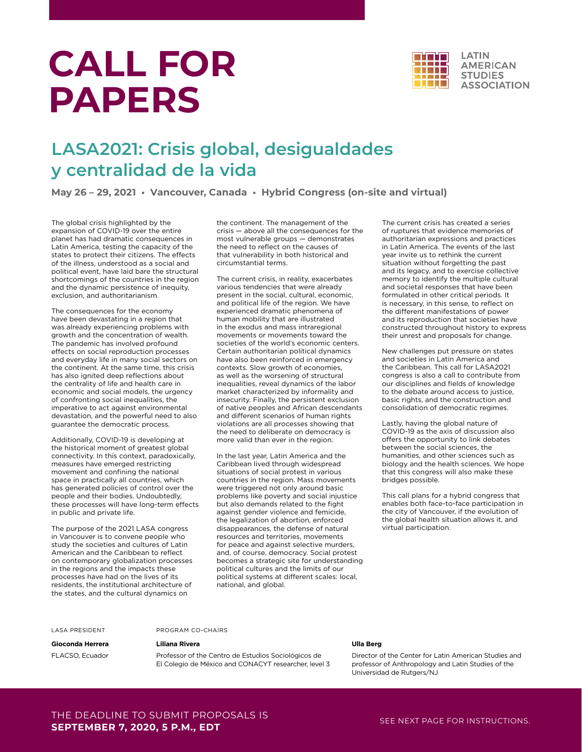# **CALL FOR PAPERS**



## **LASA2021: Crisis global, desigualdades y centralidad de la vida**

**May 26 – 29, 2021 • Vancouver, Canada • Hybrid Congress (on-site and virtual)**

The global crisis highlighted by the expansion of COVID-19 over the entire planet has had dramatic consequences in Latin America, testing the capacity of the states to protect their citizens. The effects of the illness, understood as a social and political event, have laid bare the structural shortcomings of the countries in the region and the dynamic persistence of inequity, exclusion, and authoritarianism.

The consequences for the economy have been devastating in a region that was already experiencing problems with growth and the concentration of wealth. The pandemic has involved profound effects on social reproduction processes and everyday life in many social sectors on the continent. At the same time, this crisis has also ignited deep reflections about the centrality of life and health care in economic and social models, the urgency of confronting social inequalities, the imperative to act against environmental devastation, and the powerful need to also guarantee the democratic process.

Additionally, COVID-19 is developing at the historical moment of greatest global connectivity. In this context, paradoxically, measures have emerged restricting movement and confining the national space in practically all countries, which has generated policies of control over the people and their bodies. Undoubtedly, these processes will have long-term effects in public and private life.

The purpose of the 2021 LASA congress in Vancouver is to convene people who study the societies and cultures of Latin American and the Caribbean to reflect on contemporary globalization processes in the regions and the impacts these processes have had on the lives of its residents, the institutional architecture of the states, and the cultural dynamics on

the continent. The management of the crisis — above all the consequences for the most vulnerable groups — demonstrates the need to reflect on the causes of that vulnerability in both historical and circumstantial terms.

The current crisis, in reality, exacerbates various tendencies that were already present in the social, cultural, economic, and political life of the region. We have experienced dramatic phenomena of human mobility that are illustrated in the exodus and mass intraregional movements or movements toward the societies of the world's economic centers. Certain authoritarian political dynamics have also been reinforced in emergency contexts. Slow growth of economies, as well as the worsening of structural inequalities, reveal dynamics of the labor market characterized by informality and insecurity. Finally, the persistent exclusion of native peoples and African descendants and different scenarios of human rights violations are all processes showing that the need to deliberate on democracy is more valid than ever in the region.

In the last year, Latin America and the Caribbean lived through widespread situations of social protest in various countries in the region. Mass movements were triggered not only around basic problems like poverty and social injustice but also demands related to the fight against gender violence and femicide, the legalization of abortion, enforced disappearances, the defense of natural resources and territories, movements for peace and against selective murders, and, of course, democracy. Social protest becomes a strategic site for understanding political cultures and the limits of our political systems at different scales: local, national, and global.

The current crisis has created a series of ruptures that evidence memories of authoritarian expressions and practices in Latin America. The events of the last year invite us to rethink the current situation without forgetting the past and its legacy, and to exercise collective memory to identify the multiple cultural and societal responses that have been formulated in other critical periods. It is necessary, in this sense, to reflect on the different manifestations of power and its reproduction that societies have constructed throughout history to express their unrest and proposals for change.

New challenges put pressure on states and societies in Latin America and the Caribbean. This call for LASA2021 congress is also a call to contribute from our disciplines and fields of knowledge to the debate around access to justice, basic rights, and the construction and consolidation of democratic regimes.

Lastly, having the global nature of COVID-19 as the axis of discussion also offers the opportunity to link debates between the social sciences, the humanities, and other sciences such as biology and the health sciences. We hope that this congress will also make these bridges possible.

This call plans for a hybrid congress that enables both face-to-face participation in the city of Vancouver, if the evolution of the global health situation allows it, and virtual participation.

#### LASA PRESIDENT

### **Liliana Rivera**

PROGRAM CO-CHAIRS

**Gioconda Herrera** FLACSO, Ecuador

Professor of the Centro de Estudios Sociológicos de El Colegio de México and CONACYT researcher, level 3

#### **Ulla Berg**

Director of the Center for Latin American Studies and professor of Anthropology and Latin Studies of the Universidad de Rutgers/NJ

## THE DEADLINE TO SUBMIT PROPOSALS IS **SEPTEMBER 7, 2020, 5 P.M., EDT**

SEE NEXT PAGE FOR INSTRUCTIONS.